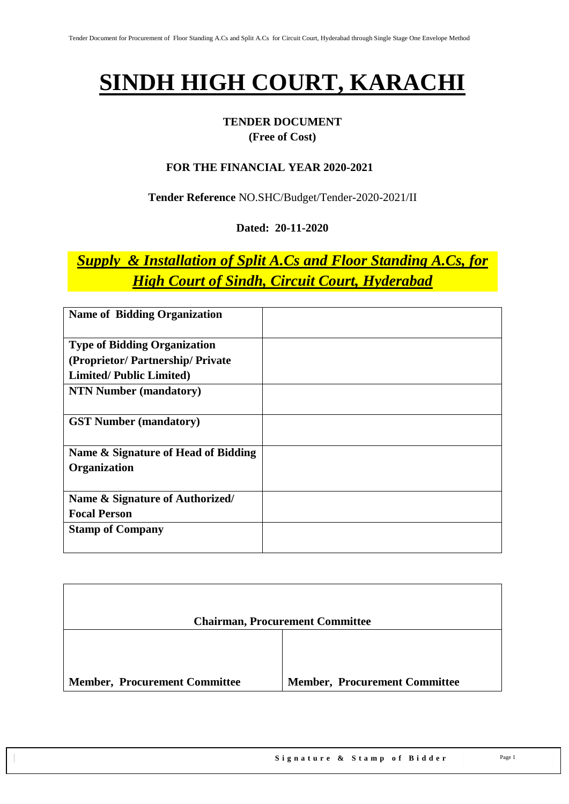## **SINDH HIGH COURT, KARACHI**

### **TENDER DOCUMENT (Free of Cost)**

#### **FOR THE FINANCIAL YEAR 2020-2021**

**Tender Reference** NO.SHC/Budget/Tender-2020-2021/II

#### **Dated: 20-11-2020**

## *Supply & Installation of Split A.Cs and Floor Standing A.Cs, for High Court of Sindh, Circuit Court, Hyderabad*

| <b>Name of Bidding Organization</b>                                                                       |  |
|-----------------------------------------------------------------------------------------------------------|--|
| <b>Type of Bidding Organization</b><br>(Proprietor/Partnership/Private)<br><b>Limited/Public Limited)</b> |  |
| <b>NTN Number (mandatory)</b>                                                                             |  |
| <b>GST Number (mandatory)</b>                                                                             |  |
| Name & Signature of Head of Bidding<br>Organization                                                       |  |
| Name & Signature of Authorized/<br><b>Focal Person</b>                                                    |  |
| <b>Stamp of Company</b>                                                                                   |  |

|                                      | <b>Chairman, Procurement Committee</b> |
|--------------------------------------|----------------------------------------|
|                                      |                                        |
| <b>Member, Procurement Committee</b> | <b>Member, Procurement Committee</b>   |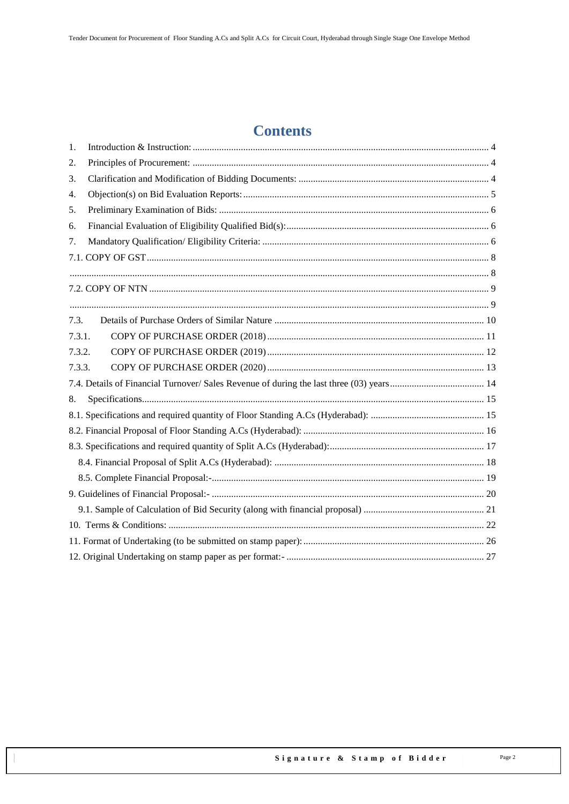### **Contents**

| 1.     |  |
|--------|--|
| 2.     |  |
| 3.     |  |
| 4.     |  |
| 5.     |  |
| 6.     |  |
| 7.     |  |
|        |  |
|        |  |
|        |  |
|        |  |
| 7.3.   |  |
| 7.3.1. |  |
| 7.3.2. |  |
| 7.3.3. |  |
|        |  |
| 8.     |  |
|        |  |
|        |  |
|        |  |
|        |  |
|        |  |
|        |  |
|        |  |
|        |  |
|        |  |
|        |  |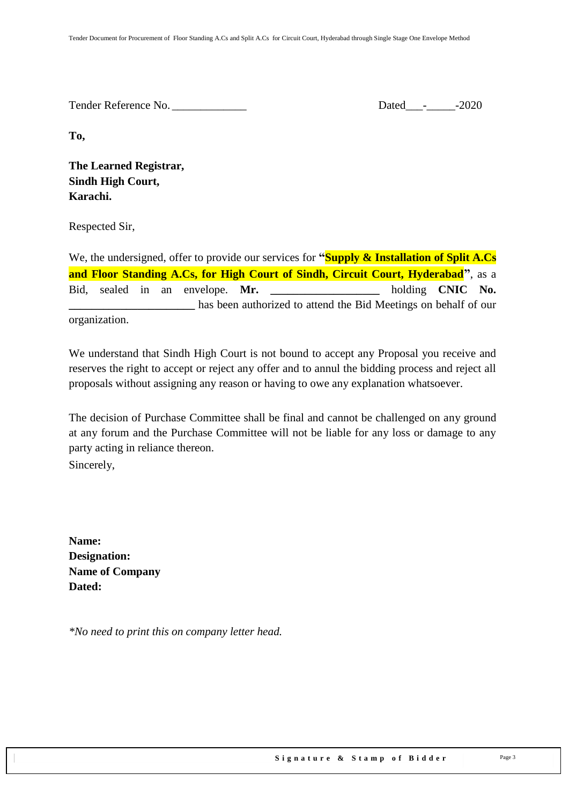Tender Reference No. \_\_\_\_\_\_\_\_\_\_\_\_\_ Dated\_\_\_-\_\_\_\_\_-2020

**To,** 

**The Learned Registrar, Sindh High Court, Karachi.**

Respected Sir,

We, the undersigned, offer to provide our services for **"Supply & Installation of Split A.Cs and Floor Standing A.Cs, for High Court of Sindh, Circuit Court, Hyderabad"**, as a Bid, sealed in an envelope. Mr. holding **CNIC** No. **\_\_\_\_\_\_\_\_\_\_\_\_\_\_\_\_\_\_\_\_\_\_** has been authorized to attend the Bid Meetings on behalf of our organization.

We understand that Sindh High Court is not bound to accept any Proposal you receive and reserves the right to accept or reject any offer and to annul the bidding process and reject all proposals without assigning any reason or having to owe any explanation whatsoever.

The decision of Purchase Committee shall be final and cannot be challenged on any ground at any forum and the Purchase Committee will not be liable for any loss or damage to any party acting in reliance thereon. Sincerely,

**Name: Designation: Name of Company Dated:**

*\*No need to print this on company letter head.*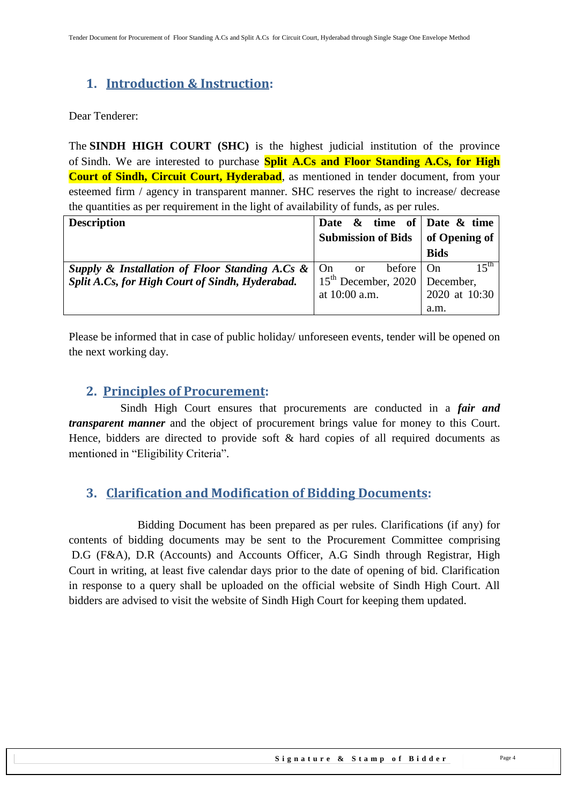### <span id="page-3-0"></span>**1. Introduction & Instruction:**

Dear Tenderer:

The **SINDH HIGH COURT (SHC)** is the highest judicial institution of the province of [Sindh.](https://en.wikipedia.org/wiki/Sindh) We are interested to purchase **Split A.Cs and Floor Standing A.Cs, for High Court of Sindh, Circuit Court, Hyderabad**, as mentioned in tender document, from your esteemed firm / agency in transparent manner. SHC reserves the right to increase/ decrease the quantities as per requirement in the light of availability of funds, as per rules.

| <b>Description</b>                                | Date $\&$ time of Date $\&$ time  |               |
|---------------------------------------------------|-----------------------------------|---------------|
|                                                   | <b>Submission of Bids</b>         | of Opening of |
|                                                   |                                   | <b>Bids</b>   |
| Supply & Installation of Floor Standing A.Cs $\&$ | or before On<br>$1$ On            | $15^{th}$     |
| Split A.Cs, for High Court of Sindh, Hyderabad.   | $15th$ December, 2020   December, |               |
|                                                   | at $10:00$ a.m.                   | 2020 at 10:30 |
|                                                   |                                   | a.m.          |

<span id="page-3-1"></span>Please be informed that in case of public holiday/ unforeseen events, tender will be opened on the next working day.

### **2. Principles of Procurement:**

 Sindh High Court ensures that procurements are conducted in a *fair and transparent manner* and the object of procurement brings value for money to this Court. Hence, bidders are directed to provide soft & hard copies of all required documents as mentioned in "Eligibility Criteria".

### <span id="page-3-2"></span>**3. Clarification and Modification of Bidding Documents:**

Bidding Document has been prepared as per rules. Clarifications (if any) for contents of bidding documents may be sent to the Procurement Committee comprising D.G (F&A), D.R (Accounts) and Accounts Officer, A.G Sindh through Registrar, High Court in writing, at least five calendar days prior to the date of opening of bid. Clarification in response to a query shall be uploaded on the official website of Sindh High Court. All bidders are advised to visit the website of Sindh High Court for keeping them updated.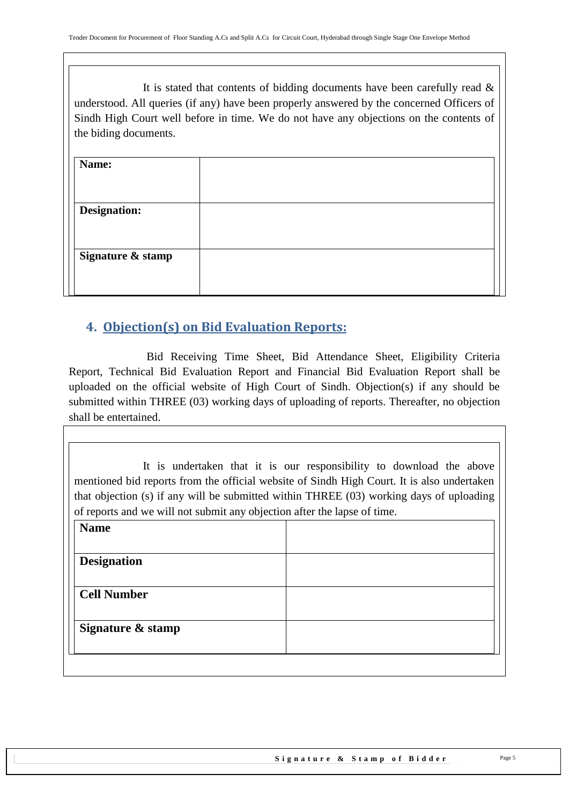It is stated that contents of bidding documents have been carefully read  $\&$ understood. All queries (if any) have been properly answered by the concerned Officers of Sindh High Court well before in time. We do not have any objections on the contents of the biding documents.

| Name:               |  |
|---------------------|--|
| <b>Designation:</b> |  |
|                     |  |
| Signature & stamp   |  |

### <span id="page-4-0"></span>**4. Objection(s) on Bid Evaluation Reports:**

 Bid Receiving Time Sheet, Bid Attendance Sheet, Eligibility Criteria Report, Technical Bid Evaluation Report and Financial Bid Evaluation Report shall be uploaded on the official website of High Court of Sindh. Objection(s) if any should be submitted within THREE (03) working days of uploading of reports. Thereafter, no objection shall be entertained.

It is undertaken that it is our responsibility to download the above mentioned bid reports from the official website of Sindh High Court. It is also undertaken that objection (s) if any will be submitted within THREE (03) working days of uploading of reports and we will not submit any objection after the lapse of time.

| <b>Name</b>        |  |  |
|--------------------|--|--|
| <b>Designation</b> |  |  |
| <b>Cell Number</b> |  |  |
| Signature & stamp  |  |  |
|                    |  |  |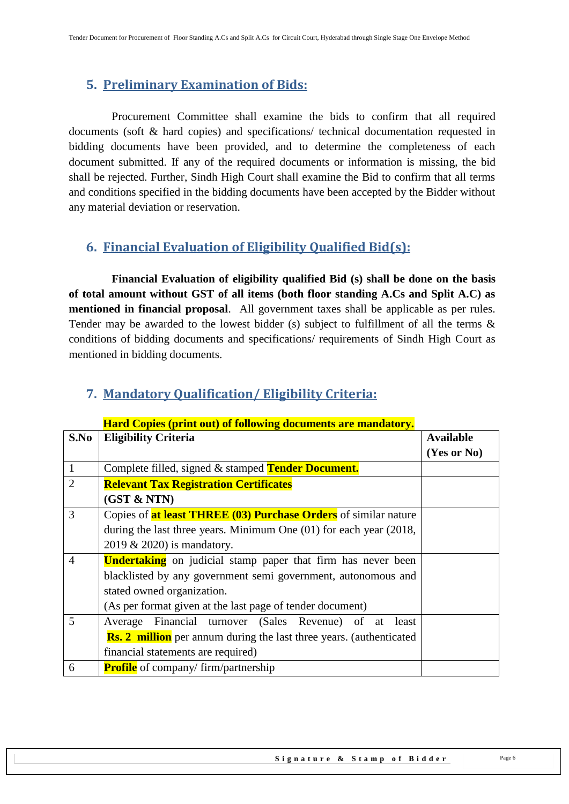### <span id="page-5-0"></span>**5. Preliminary Examination of Bids:**

 Procurement Committee shall examine the bids to confirm that all required documents (soft & hard copies) and specifications/ technical documentation requested in bidding documents have been provided, and to determine the completeness of each document submitted. If any of the required documents or information is missing, the bid shall be rejected. Further, Sindh High Court shall examine the Bid to confirm that all terms and conditions specified in the bidding documents have been accepted by the Bidder without any material deviation or reservation.

### <span id="page-5-1"></span>**6. Financial Evaluation of Eligibility Qualified Bid(s):**

 **Financial Evaluation of eligibility qualified Bid (s) shall be done on the basis of total amount without GST of all items (both floor standing A.Cs and Split A.C) as mentioned in financial proposal**. All government taxes shall be applicable as per rules. Tender may be awarded to the lowest bidder (s) subject to fulfillment of all the terms  $\&$ conditions of bidding documents and specifications/ requirements of Sindh High Court as mentioned in bidding documents.

|                | <b>Hard Copies (print out) of following documents are mandatory.</b>        |                  |
|----------------|-----------------------------------------------------------------------------|------------------|
| S.No           | <b>Eligibility Criteria</b>                                                 | <b>Available</b> |
|                |                                                                             | (Yes or No)      |
| $\mathbf{1}$   | Complete filled, signed & stamped Tender Document.                          |                  |
| $\overline{2}$ | <b>Relevant Tax Registration Certificates</b>                               |                  |
|                | (GST & NTN)                                                                 |                  |
| 3              | Copies of <b>at least THREE (03) Purchase Orders</b> of similar nature      |                  |
|                | during the last three years. Minimum One $(01)$ for each year $(2018, 100)$ |                  |
|                | 2019 & 2020) is mandatory.                                                  |                  |
| 4              | <b>Undertaking</b> on judicial stamp paper that firm has never been         |                  |
|                | blacklisted by any government semi government, autonomous and               |                  |
|                | stated owned organization.                                                  |                  |
|                | (As per format given at the last page of tender document)                   |                  |
| 5              | Financial turnover (Sales Revenue) of at least<br>Average                   |                  |
|                | <b>Rs. 2 million</b> per annum during the last three years. (authenticated  |                  |
|                | financial statements are required)                                          |                  |
| 6              | <b>Profile</b> of company/ firm/partnership                                 |                  |

## <span id="page-5-2"></span>**7. Mandatory Qualification/ Eligibility Criteria:**

#### Signature & Stamp of Bidder Page 6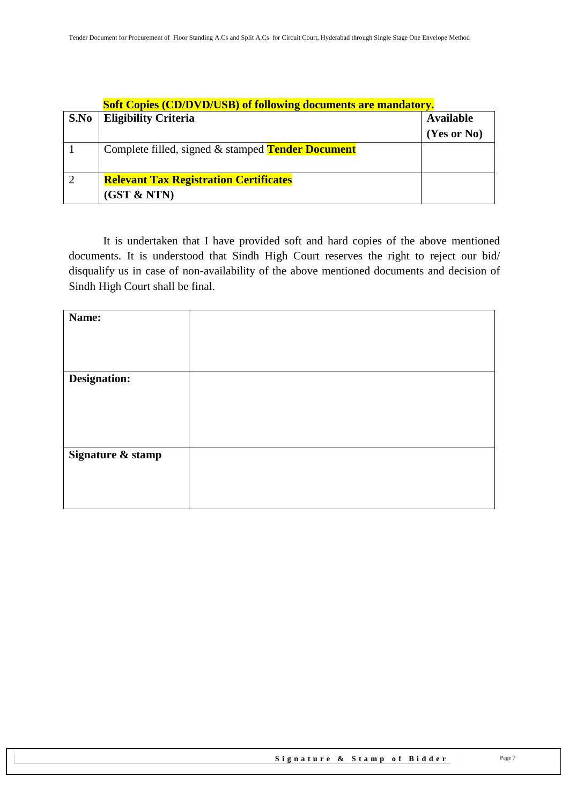|                | <b>Soft Copies (CD/DVD/USB) of following documents are mandatory.</b> |                  |
|----------------|-----------------------------------------------------------------------|------------------|
| S.No           | <b>Eligibility Criteria</b>                                           | <b>Available</b> |
|                |                                                                       | (Yes or No)      |
|                | Complete filled, signed & stamped <b>Tender Document</b>              |                  |
| $\overline{2}$ | <b>Relevant Tax Registration Certificates</b>                         |                  |
|                | (GST & NTN)                                                           |                  |

It is undertaken that I have provided soft and hard copies of the above mentioned documents. It is understood that Sindh High Court reserves the right to reject our bid/ disqualify us in case of non-availability of the above mentioned documents and decision of Sindh High Court shall be final.

| Name:             |  |
|-------------------|--|
|                   |  |
|                   |  |
|                   |  |
| Designation:      |  |
|                   |  |
|                   |  |
|                   |  |
|                   |  |
| Signature & stamp |  |
|                   |  |
|                   |  |
|                   |  |
|                   |  |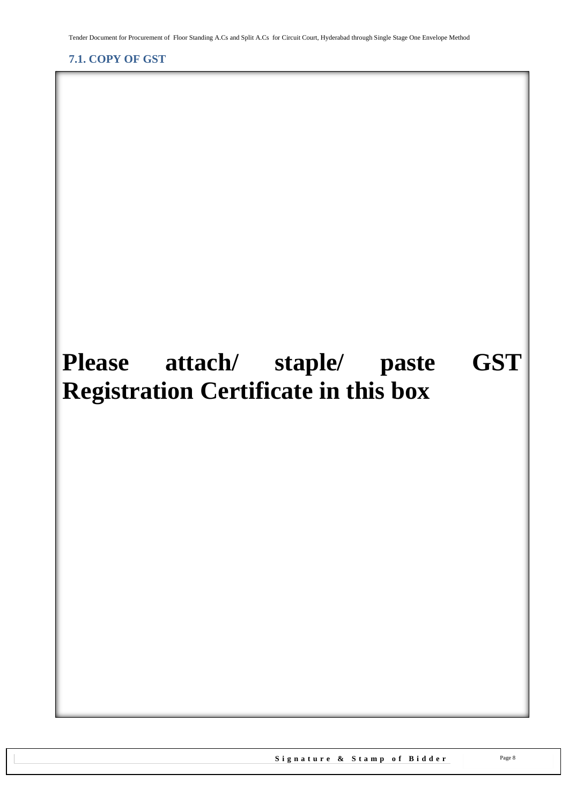<span id="page-7-1"></span>Tender Document for Procurement of Floor Standing A.Cs and Split A.Cs for Circuit Court, Hyderabad through Single Stage One Envelope Method

<span id="page-7-0"></span>**7.1. COPY OF GST**

# **Please attach/ staple/ paste GST Registration Certificate in this box**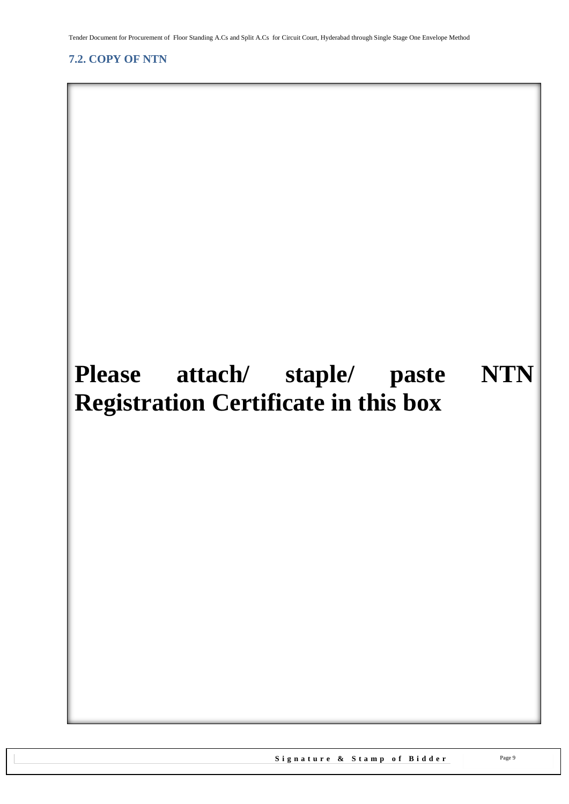<span id="page-8-1"></span>Tender Document for Procurement of Floor Standing A.Cs and Split A.Cs for Circuit Court, Hyderabad through Single Stage One Envelope Method

### <span id="page-8-0"></span>**7.2. COPY OF NTN**

# **Please attach/ staple/ paste NTN Registration Certificate in this box**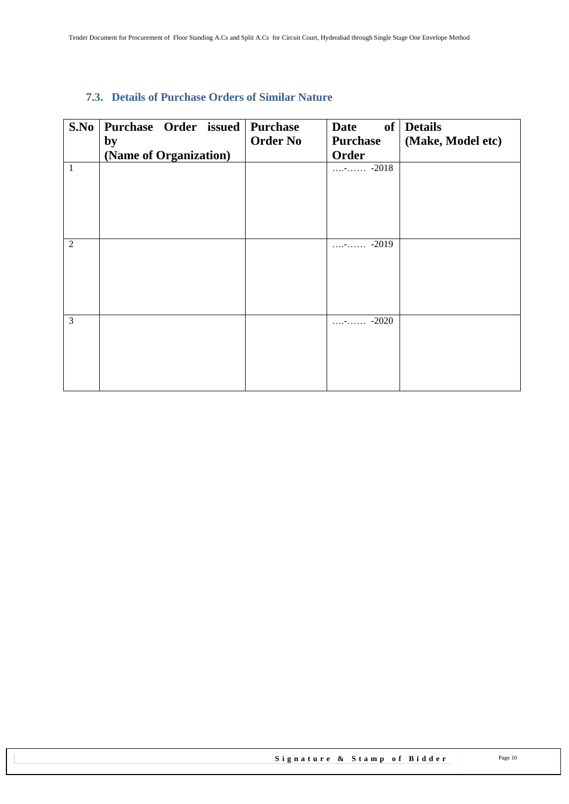### <span id="page-9-0"></span>**7.3. Details of Purchase Orders of Similar Nature**

| S.No           | Purchase Order issued Purchase<br>by<br>(Name of Organization) | <b>Order No</b> | <b>Date</b><br><b>Purchase</b><br>Order | of Details<br>(Make, Model etc) |
|----------------|----------------------------------------------------------------|-----------------|-----------------------------------------|---------------------------------|
| $\mathbf{1}$   |                                                                |                 | $\cdots$ - $\cdots$ -2018               |                                 |
| $\overline{2}$ |                                                                |                 | $\cdots$ - $\cdots$ -2019               |                                 |
|                |                                                                |                 |                                         |                                 |
|                |                                                                |                 |                                         |                                 |
| 3              |                                                                |                 | $\cdots$ - $\cdots$ -2020               |                                 |
|                |                                                                |                 |                                         |                                 |
|                |                                                                |                 |                                         |                                 |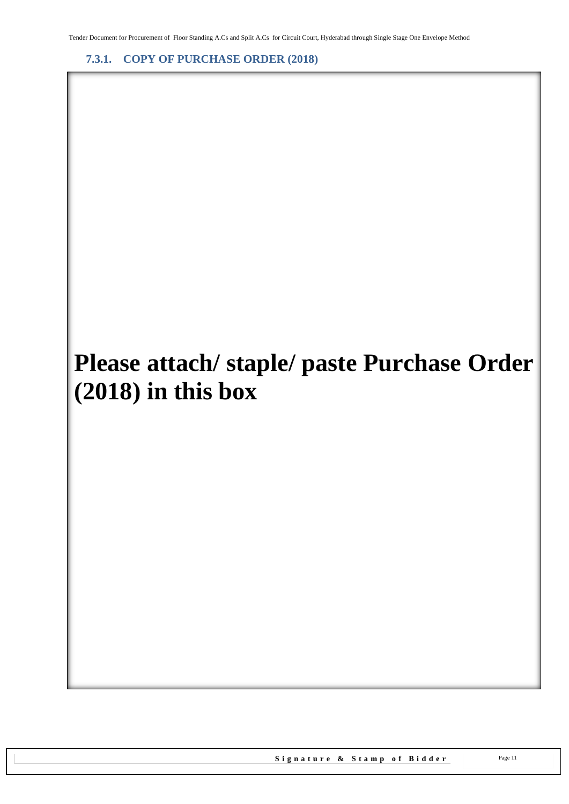<span id="page-10-0"></span>**7.3.1. COPY OF PURCHASE ORDER (2018)**

# **Please attach/ staple/ paste Purchase Order (2018) in this box**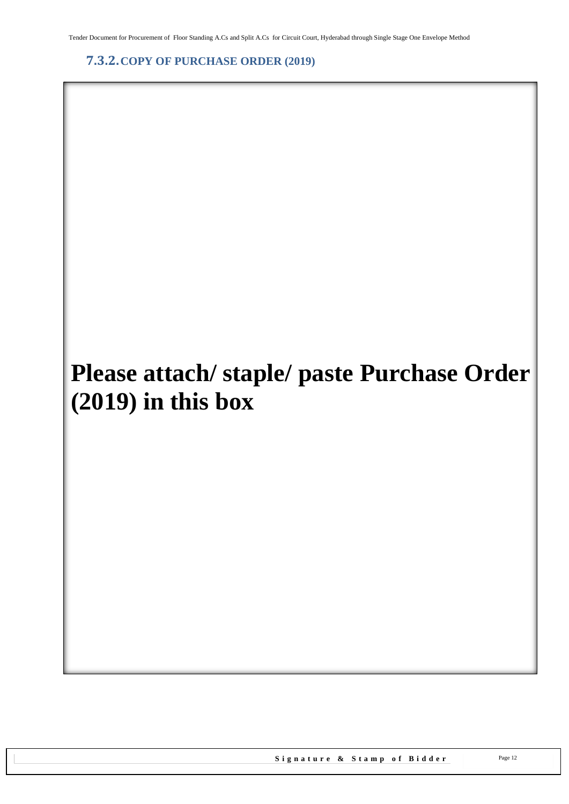Tender Document for Procurement of Floor Standing A.Cs and Split A.Cs for Circuit Court, Hyderabad through Single Stage One Envelope Method

<span id="page-11-0"></span>**7.3.2.COPY OF PURCHASE ORDER (2019)**

# **Please attach/ staple/ paste Purchase Order (2019) in this box**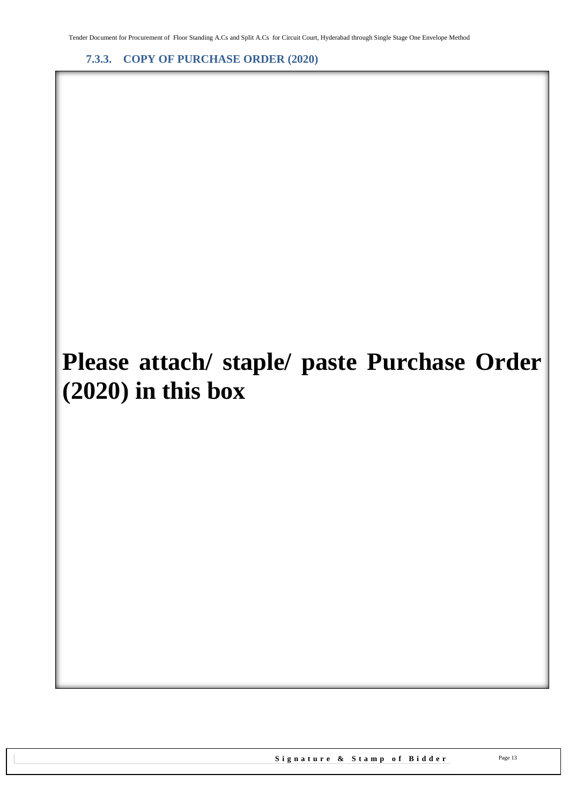<span id="page-12-0"></span>**7.3.3. COPY OF PURCHASE ORDER (2020)**

# **Please attach/ staple/ paste Purchase Order (2020) in this box**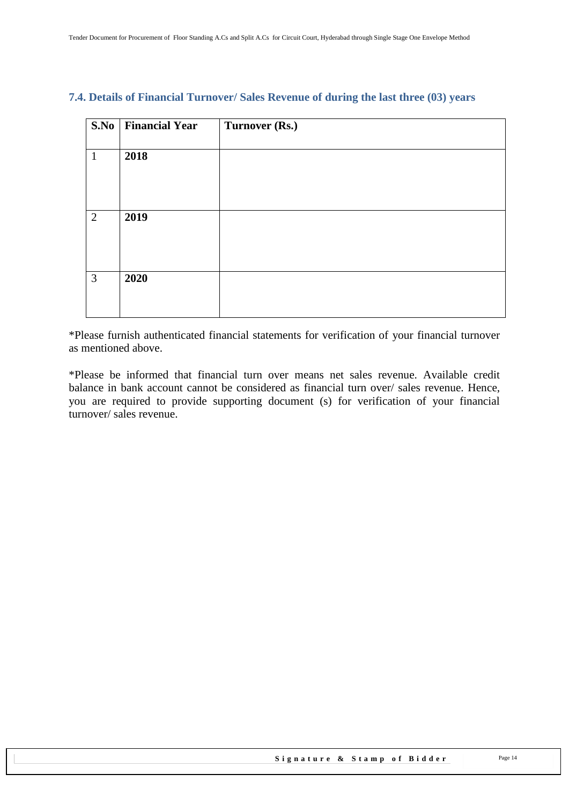|   | S.No   Financial Year | Turnover (Rs.) |
|---|-----------------------|----------------|
| 1 | 2018                  |                |
|   |                       |                |
| 2 | 2019                  |                |
| 3 | 2020                  |                |

#### <span id="page-13-0"></span>**7.4. Details of Financial Turnover/ Sales Revenue of during the last three (03) years**

\*Please furnish authenticated financial statements for verification of your financial turnover as mentioned above.

\*Please be informed that financial turn over means net sales revenue. Available credit balance in bank account cannot be considered as financial turn over/ sales revenue. Hence, you are required to provide supporting document (s) for verification of your financial turnover/ sales revenue.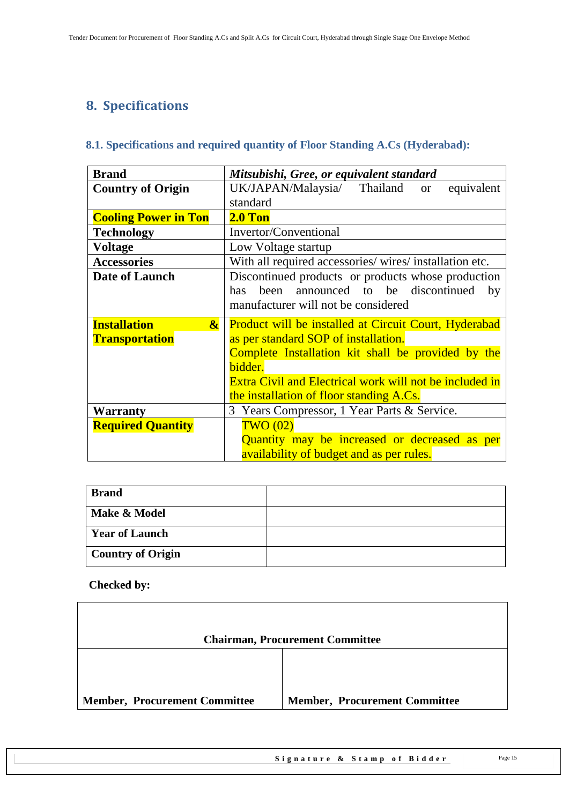## <span id="page-14-1"></span><span id="page-14-0"></span>**8. Specifications**

### **8.1. Specifications and required quantity of Floor Standing A.Cs (Hyderabad):**

| <b>Brand</b>                | Mitsubishi, Gree, or equivalent standard                |
|-----------------------------|---------------------------------------------------------|
| <b>Country of Origin</b>    | UK/JAPAN/Malaysia/ Thailand<br>equivalent<br><b>or</b>  |
|                             | standard                                                |
| <b>Cooling Power in Ton</b> | $2.0$ Ton                                               |
| <b>Technology</b>           | Invertor/Conventional                                   |
| <b>Voltage</b>              | Low Voltage startup                                     |
| <b>Accessories</b>          | With all required accessories/ wires/ installation etc. |
| <b>Date of Launch</b>       | Discontinued products or products whose production      |
|                             | been announced to be discontinued<br>has.<br>by         |
|                             | manufacturer will not be considered                     |
| <b>Installation</b>         | Product will be installed at Circuit Court, Hyderabad   |
| $\boldsymbol{\alpha}$       |                                                         |
| <b>Transportation</b>       | as per standard SOP of installation.                    |
|                             | Complete Installation kit shall be provided by the      |
|                             | bidder.                                                 |
|                             | Extra Civil and Electrical work will not be included in |
|                             | the installation of floor standing A.Cs.                |
| Warranty                    | 3 Years Compressor, 1 Year Parts & Service.             |
| <b>Required Quantity</b>    | TWO(02)                                                 |
|                             | Quantity may be increased or decreased as per           |

| <b>Brand</b>             |  |
|--------------------------|--|
| Make & Model             |  |
| <b>Year of Launch</b>    |  |
| <b>Country of Origin</b> |  |

|                                      | <b>Chairman, Procurement Committee</b> |
|--------------------------------------|----------------------------------------|
|                                      |                                        |
| <b>Member, Procurement Committee</b> | <b>Member, Procurement Committee</b>   |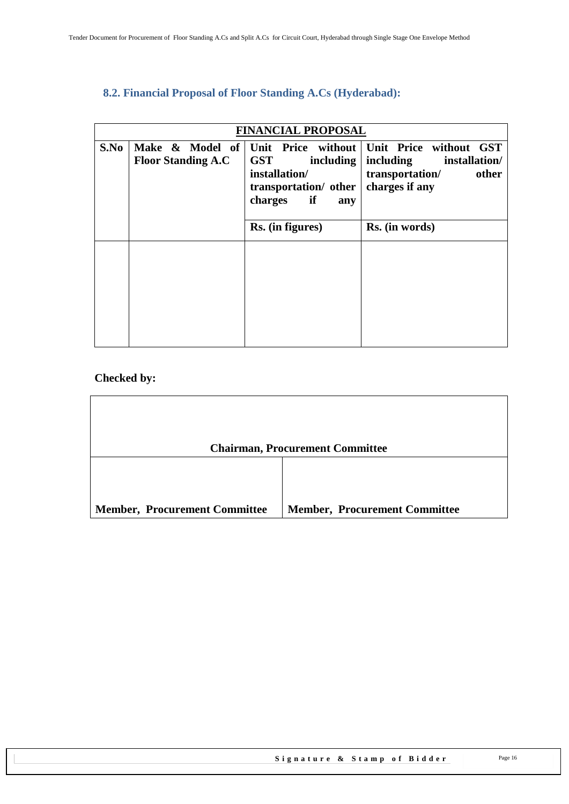### <span id="page-15-0"></span>**8.2. Financial Proposal of Floor Standing A.Cs (Hyderabad):**

|      | <b>FINANCIAL PROPOSAL</b> |                                                                                           |                                                                                                                                       |  |
|------|---------------------------|-------------------------------------------------------------------------------------------|---------------------------------------------------------------------------------------------------------------------------------------|--|
| S.No | <b>Floor Standing A.C</b> | <b>GST</b><br>including<br>installation/<br>transportation/ other<br>if<br>charges<br>any | Make & Model of Unit Price without Unit Price without GST<br>including<br>installation/<br>transportation/<br>other<br>charges if any |  |
|      |                           | Rs. (in figures)                                                                          | Rs. (in words)                                                                                                                        |  |
|      |                           |                                                                                           |                                                                                                                                       |  |

| <b>Chairman, Procurement Committee</b> |                                      |  |  |
|----------------------------------------|--------------------------------------|--|--|
|                                        |                                      |  |  |
|                                        |                                      |  |  |
|                                        |                                      |  |  |
| <b>Member, Procurement Committee</b>   | <b>Member, Procurement Committee</b> |  |  |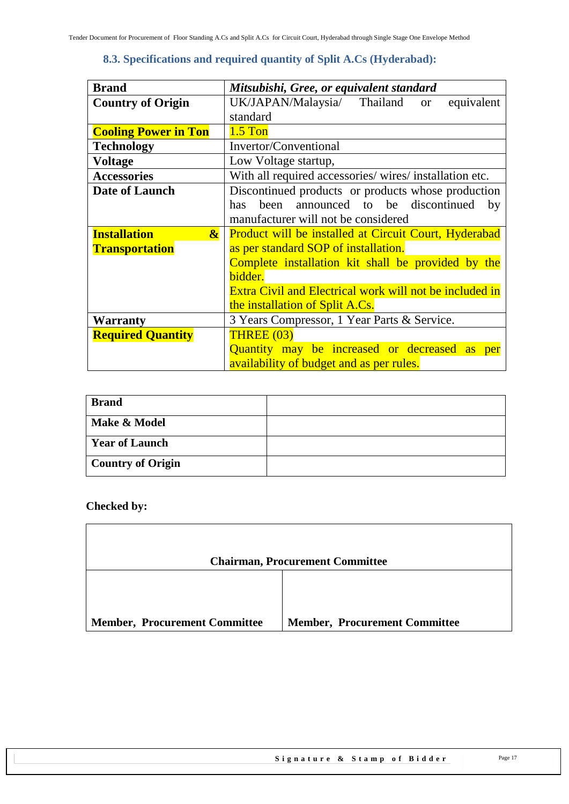### **8.3. Specifications and required quantity of Split A.Cs (Hyderabad):**

<span id="page-16-0"></span>

| <b>Brand</b>                                 | Mitsubishi, Gree, or equivalent standard                       |  |  |
|----------------------------------------------|----------------------------------------------------------------|--|--|
| <b>Country of Origin</b>                     | UK/JAPAN/Malaysia/ Thailand<br>equivalent<br><b>or</b>         |  |  |
|                                              | standard                                                       |  |  |
| <b>Cooling Power in Ton</b>                  | $1.5$ Ton                                                      |  |  |
| <b>Technology</b>                            | Invertor/Conventional                                          |  |  |
| <b>Voltage</b>                               | Low Voltage startup,                                           |  |  |
| <b>Accessories</b>                           | With all required accessories/wires/installation etc.          |  |  |
| Date of Launch                               | Discontinued products or products whose production             |  |  |
|                                              | been announced to be discontinued<br>has<br>by                 |  |  |
|                                              | manufacturer will not be considered                            |  |  |
| <b>Installation</b><br>$\boldsymbol{\alpha}$ | <b>Product will be installed at Circuit Court, Hyderabad</b>   |  |  |
| <b>Transportation</b>                        | as per standard SOP of installation.                           |  |  |
|                                              | Complete installation kit shall be provided by the             |  |  |
|                                              | bidder.                                                        |  |  |
|                                              | <b>Extra Civil and Electrical work will not be included in</b> |  |  |
|                                              | the installation of Split A.Cs.                                |  |  |
| <b>Warranty</b>                              | 3 Years Compressor, 1 Year Parts & Service.                    |  |  |
| <b>Required Quantity</b>                     | <b>THREE (03)</b>                                              |  |  |
|                                              | Quantity may be increased or decreased as per                  |  |  |
|                                              | availability of budget and as per rules.                       |  |  |

| <b>Brand</b>             |  |
|--------------------------|--|
| Make & Model             |  |
| <b>Year of Launch</b>    |  |
| <b>Country of Origin</b> |  |

|                                      | <b>Chairman, Procurement Committee</b> |
|--------------------------------------|----------------------------------------|
|                                      |                                        |
|                                      |                                        |
|                                      |                                        |
|                                      |                                        |
| <b>Member, Procurement Committee</b> | <b>Member, Procurement Committee</b>   |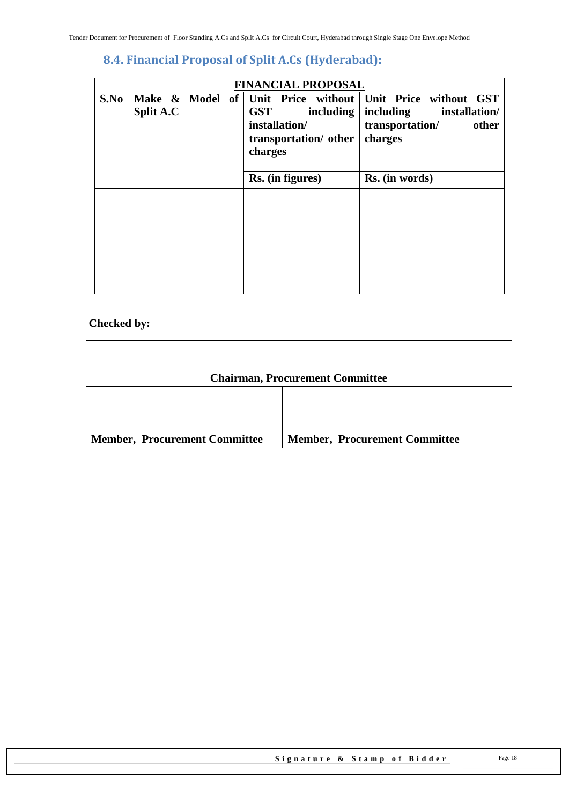### <span id="page-17-0"></span>**8.4. Financial Proposal of Split A.Cs (Hyderabad):**

|      | <b>FINANCIAL PROPOSAL</b> |  |  |                                                                                                                             |           |                      |                       |               |       |
|------|---------------------------|--|--|-----------------------------------------------------------------------------------------------------------------------------|-----------|----------------------|-----------------------|---------------|-------|
| S.No | Split A.C                 |  |  | Make & Model of Unit Price without Unit Price without GST<br><b>GST</b><br>installation/<br>transportation/other<br>charges | including | including<br>charges | transportation/       | installation/ | other |
|      |                           |  |  | Rs. (in figures)                                                                                                            |           |                      | <b>Rs.</b> (in words) |               |       |
|      |                           |  |  |                                                                                                                             |           |                      |                       |               |       |

|                                      | <b>Chairman, Procurement Committee</b> |
|--------------------------------------|----------------------------------------|
|                                      |                                        |
| <b>Member, Procurement Committee</b> | <b>Member, Procurement Committee</b>   |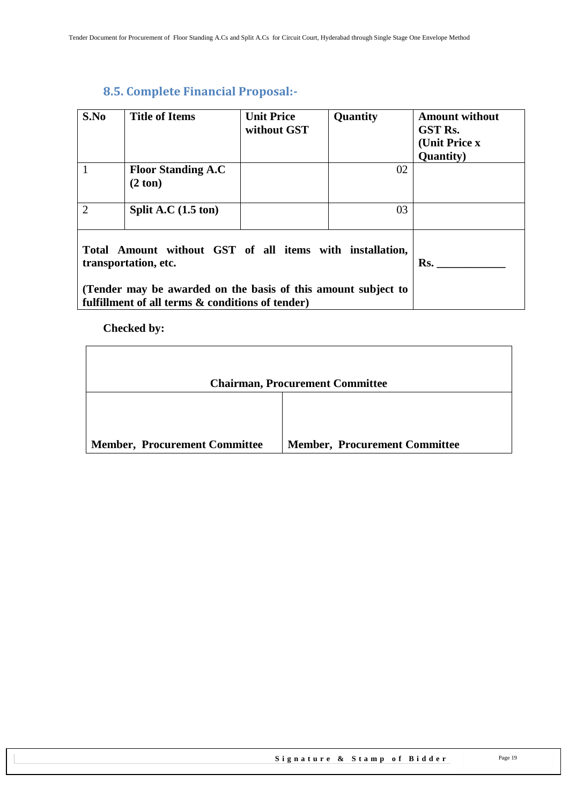### <span id="page-18-0"></span>**8.5. Complete Financial Proposal:-**

| S.No                                                                                                                                                                                                  | <b>Title of Items</b>                          | <b>Unit Price</b><br>without GST | Quantity | <b>Amount without</b><br><b>GST Rs.</b><br>(Unit Price x<br><b>Quantity</b> ) |
|-------------------------------------------------------------------------------------------------------------------------------------------------------------------------------------------------------|------------------------------------------------|----------------------------------|----------|-------------------------------------------------------------------------------|
| 1                                                                                                                                                                                                     | <b>Floor Standing A.C</b><br>$(2 \text{ ton})$ |                                  | 02       |                                                                               |
| $\overline{2}$                                                                                                                                                                                        | Split A.C $(1.5 \text{ ton})$                  |                                  | 03       |                                                                               |
| Total Amount without GST of all items with installation,<br>transportation, etc.<br>(Tender may be awarded on the basis of this amount subject to<br>fulfillment of all terms & conditions of tender) |                                                |                                  |          | Rs.                                                                           |

|                                      | <b>Chairman, Procurement Committee</b> |
|--------------------------------------|----------------------------------------|
|                                      |                                        |
| <b>Member, Procurement Committee</b> | <b>Member, Procurement Committee</b>   |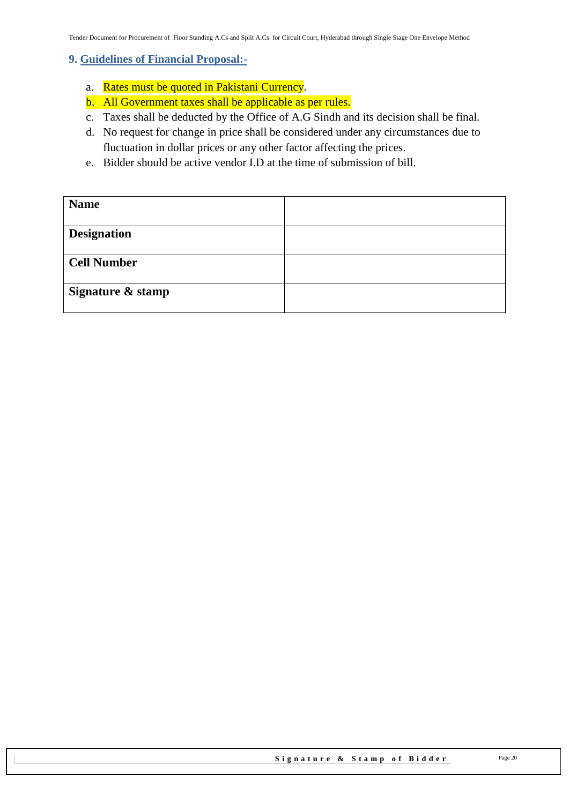#### <span id="page-19-0"></span>**9. Guidelines of Financial Proposal:-**

- a. Rates must be quoted in Pakistani Currency.
- b. All Government taxes shall be applicable as per rules.
- c. Taxes shall be deducted by the Office of A.G Sindh and its decision shall be final.
- d. No request for change in price shall be considered under any circumstances due to fluctuation in dollar prices or any other factor affecting the prices.
- e. Bidder should be active vendor I.D at the time of submission of bill.

| <b>Name</b>        |  |
|--------------------|--|
| <b>Designation</b> |  |
| <b>Cell Number</b> |  |
| Signature & stamp  |  |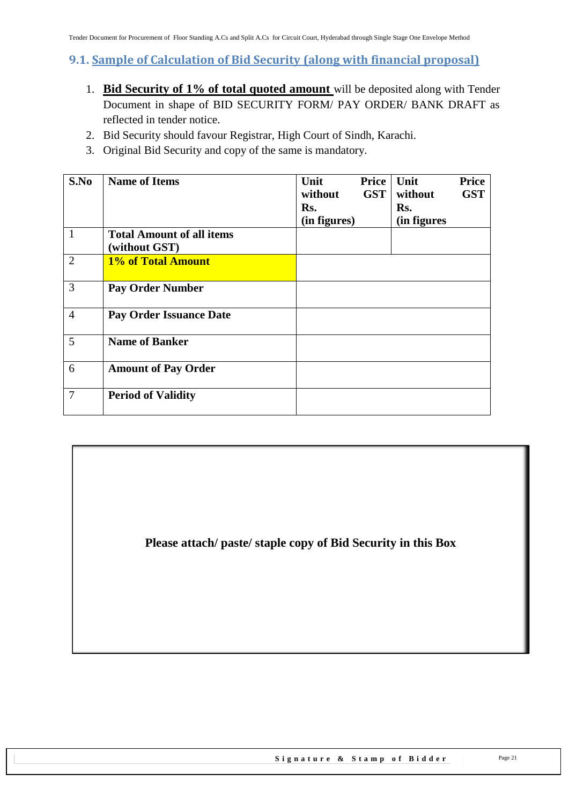### <span id="page-20-0"></span>**9.1. Sample of Calculation of Bid Security (along with financial proposal)**

- 1. **Bid Security of 1% of total quoted amount** will be deposited along with Tender Document in shape of BID SECURITY FORM/ PAY ORDER/ BANK DRAFT as reflected in tender notice.
- 2. Bid Security should favour Registrar, High Court of Sindh, Karachi.
- 3. Original Bid Security and copy of the same is mandatory.

| S.No           | <b>Name of Items</b>                              | Unit<br>without<br>Rs.<br>(in figures) | Price<br><b>GST</b> | Unit<br>without<br>Rs.<br>(in figures | <b>Price</b><br><b>GST</b> |
|----------------|---------------------------------------------------|----------------------------------------|---------------------|---------------------------------------|----------------------------|
| $\mathbf{1}$   | <b>Total Amount of all items</b><br>(without GST) |                                        |                     |                                       |                            |
| $\overline{2}$ | 1% of Total Amount                                |                                        |                     |                                       |                            |
| 3              | <b>Pay Order Number</b>                           |                                        |                     |                                       |                            |
| $\overline{4}$ | <b>Pay Order Issuance Date</b>                    |                                        |                     |                                       |                            |
| 5              | <b>Name of Banker</b>                             |                                        |                     |                                       |                            |
| 6              | <b>Amount of Pay Order</b>                        |                                        |                     |                                       |                            |
| 7              | <b>Period of Validity</b>                         |                                        |                     |                                       |                            |

**Please attach/ paste/ staple copy of Bid Security in this Box**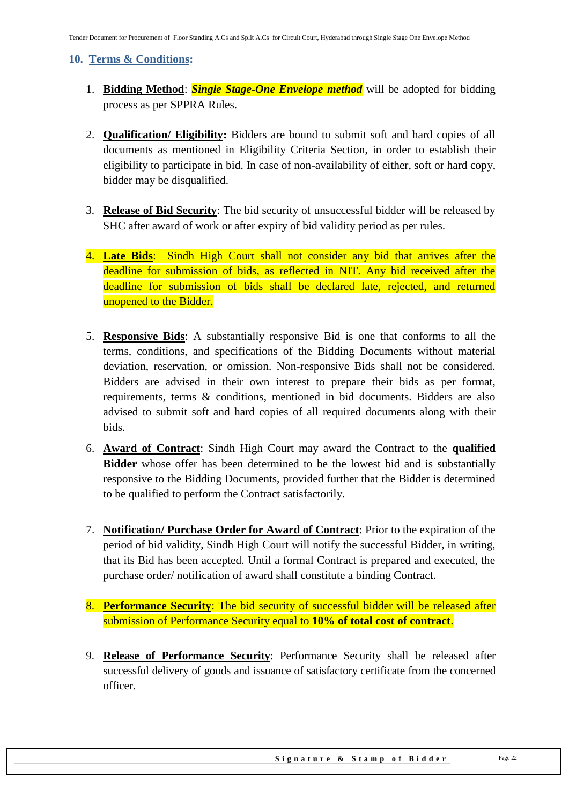#### <span id="page-21-0"></span>**10. Terms & Conditions:**

- 1. **Bidding Method**: *Single Stage-One Envelope method* will be adopted for bidding process as per SPPRA Rules.
- 2. **Qualification/ Eligibility:** Bidders are bound to submit soft and hard copies of all documents as mentioned in Eligibility Criteria Section, in order to establish their eligibility to participate in bid. In case of non-availability of either, soft or hard copy, bidder may be disqualified.
- 3. **Release of Bid Security**: The bid security of unsuccessful bidder will be released by SHC after award of work or after expiry of bid validity period as per rules.
- 4. **Late Bids**: Sindh High Court shall not consider any bid that arrives after the deadline for submission of bids, as reflected in NIT. Any bid received after the deadline for submission of bids shall be declared late, rejected, and returned unopened to the Bidder.
- 5. **Responsive Bids**: A substantially responsive Bid is one that conforms to all the terms, conditions, and specifications of the Bidding Documents without material deviation, reservation, or omission. Non-responsive Bids shall not be considered. Bidders are advised in their own interest to prepare their bids as per format, requirements, terms & conditions, mentioned in bid documents. Bidders are also advised to submit soft and hard copies of all required documents along with their bids.
- 6. **Award of Contract**: Sindh High Court may award the Contract to the **qualified Bidder** whose offer has been determined to be the lowest bid and is substantially responsive to the Bidding Documents, provided further that the Bidder is determined to be qualified to perform the Contract satisfactorily.
- 7. **Notification/ Purchase Order for Award of Contract**: Prior to the expiration of the period of bid validity, Sindh High Court will notify the successful Bidder, in writing, that its Bid has been accepted. Until a formal Contract is prepared and executed, the purchase order/ notification of award shall constitute a binding Contract.
- 8. **Performance Security**: The bid security of successful bidder will be released after submission of Performance Security equal to **10% of total cost of contract**.
- 9. **Release of Performance Security**: Performance Security shall be released after successful delivery of goods and issuance of satisfactory certificate from the concerned officer.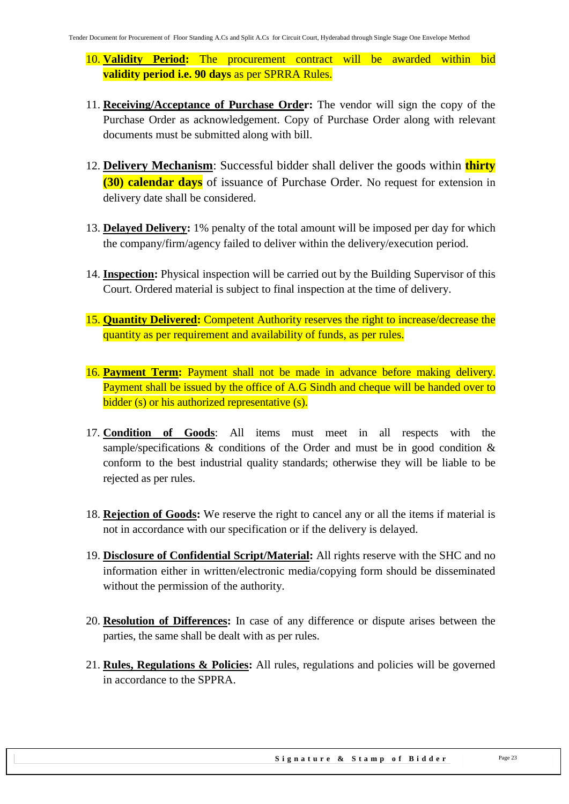- 10. **Validity Period:** The procurement contract will be awarded within bid **validity period i.e. 90 days** as per SPRRA Rules.
- 11. **Receiving/Acceptance of Purchase Order:** The vendor will sign the copy of the Purchase Order as acknowledgement. Copy of Purchase Order along with relevant documents must be submitted along with bill.
- 12. **Delivery Mechanism**: Successful bidder shall deliver the goods within **thirty (30) calendar days** of issuance of Purchase Order. No request for extension in delivery date shall be considered.
- 13. **Delayed Delivery:** 1% penalty of the total amount will be imposed per day for which the company/firm/agency failed to deliver within the delivery/execution period.
- 14. **Inspection:** Physical inspection will be carried out by the Building Supervisor of this Court. Ordered material is subject to final inspection at the time of delivery.
- 15. **Quantity Delivered:** Competent Authority reserves the right to increase/decrease the quantity as per requirement and availability of funds, as per rules.
- 16. **Payment Term:** Payment shall not be made in advance before making delivery. Payment shall be issued by the office of A.G Sindh and cheque will be handed over to bidder (s) or his authorized representative (s).
- 17. **Condition of Goods**: All items must meet in all respects with the sample/specifications  $\&$  conditions of the Order and must be in good condition  $\&$ conform to the best industrial quality standards; otherwise they will be liable to be rejected as per rules.
- 18. **Rejection of Goods:** We reserve the right to cancel any or all the items if material is not in accordance with our specification or if the delivery is delayed.
- 19. **Disclosure of Confidential Script/Material:** All rights reserve with the SHC and no information either in written/electronic media/copying form should be disseminated without the permission of the authority.
- 20. **Resolution of Differences:** In case of any difference or dispute arises between the parties, the same shall be dealt with as per rules.
- 21. **Rules, Regulations & Policies:** All rules, regulations and policies will be governed in accordance to the SPPRA.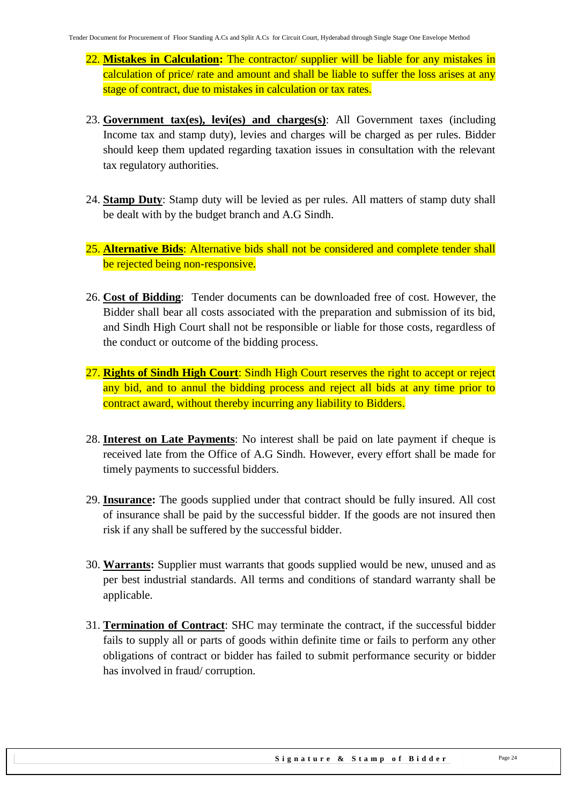- 22. **Mistakes in Calculation:** The contractor/ supplier will be liable for any mistakes in calculation of price/ rate and amount and shall be liable to suffer the loss arises at any stage of contract, due to mistakes in calculation or tax rates.
- 23. **Government tax(es), levi(es) and charges(s)**: All Government taxes (including Income tax and stamp duty), levies and charges will be charged as per rules. Bidder should keep them updated regarding taxation issues in consultation with the relevant tax regulatory authorities.
- 24. **Stamp Duty**: Stamp duty will be levied as per rules. All matters of stamp duty shall be dealt with by the budget branch and A.G Sindh.
- 25. **Alternative Bids**: Alternative bids shall not be considered and complete tender shall be rejected being non-responsive.
- 26. **Cost of Bidding**: Tender documents can be downloaded free of cost. However, the Bidder shall bear all costs associated with the preparation and submission of its bid, and Sindh High Court shall not be responsible or liable for those costs, regardless of the conduct or outcome of the bidding process.
- 27. **Rights of Sindh High Court**: Sindh High Court reserves the right to accept or reject any bid, and to annul the bidding process and reject all bids at any time prior to contract award, without thereby incurring any liability to Bidders.
- 28. **Interest on Late Payments**: No interest shall be paid on late payment if cheque is received late from the Office of A.G Sindh. However, every effort shall be made for timely payments to successful bidders.
- 29. **Insurance:** The goods supplied under that contract should be fully insured. All cost of insurance shall be paid by the successful bidder. If the goods are not insured then risk if any shall be suffered by the successful bidder.
- 30. **Warrants:** Supplier must warrants that goods supplied would be new, unused and as per best industrial standards. All terms and conditions of standard warranty shall be applicable.
- 31. **Termination of Contract**: SHC may terminate the contract, if the successful bidder fails to supply all or parts of goods within definite time or fails to perform any other obligations of contract or bidder has failed to submit performance security or bidder has involved in fraud/ corruption.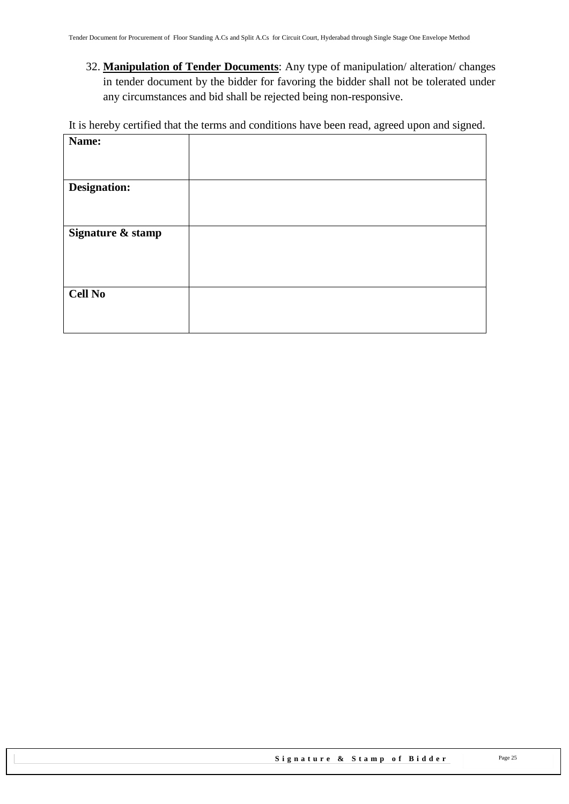32. **Manipulation of Tender Documents**: Any type of manipulation/ alteration/ changes in tender document by the bidder for favoring the bidder shall not be tolerated under any circumstances and bid shall be rejected being non-responsive.

It is hereby certified that the terms and conditions have been read, agreed upon and signed.

| Name:               |  |
|---------------------|--|
|                     |  |
|                     |  |
|                     |  |
| <b>Designation:</b> |  |
|                     |  |
|                     |  |
|                     |  |
| Signature & stamp   |  |
|                     |  |
|                     |  |
|                     |  |
|                     |  |
| <b>Cell No</b>      |  |
|                     |  |
|                     |  |
|                     |  |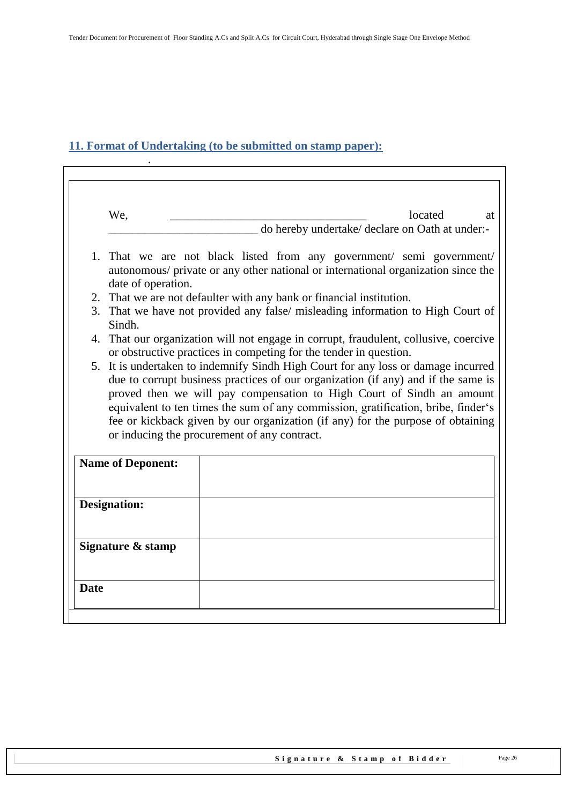### <span id="page-25-0"></span>**11. Format of Undertaking (to be submitted on stamp paper):**

.

| We,                      | located<br>at<br>do hereby undertake/ declare on Oath at under:-                                                                                                                                                                              |
|--------------------------|-----------------------------------------------------------------------------------------------------------------------------------------------------------------------------------------------------------------------------------------------|
|                          |                                                                                                                                                                                                                                               |
| date of operation.       | 1. That we are not black listed from any government/ semi government/<br>autonomous/ private or any other national or international organization since the                                                                                    |
|                          | 2. That we are not defaulter with any bank or financial institution.                                                                                                                                                                          |
| Sindh.                   | 3. That we have not provided any false/ misleading information to High Court of                                                                                                                                                               |
|                          | 4. That our organization will not engage in corrupt, fraudulent, collusive, coercive<br>or obstructive practices in competing for the tender in question.                                                                                     |
|                          | 5. It is undertaken to indemnify Sindh High Court for any loss or damage incurred<br>due to corrupt business practices of our organization (if any) and if the same is                                                                        |
|                          | or inducing the procurement of any contract.                                                                                                                                                                                                  |
| <b>Name of Deponent:</b> | proved then we will pay compensation to High Court of Sindh an amount<br>equivalent to ten times the sum of any commission, gratification, bribe, finder's<br>fee or kickback given by our organization (if any) for the purpose of obtaining |
| <b>Designation:</b>      |                                                                                                                                                                                                                                               |
| Signature & stamp        |                                                                                                                                                                                                                                               |